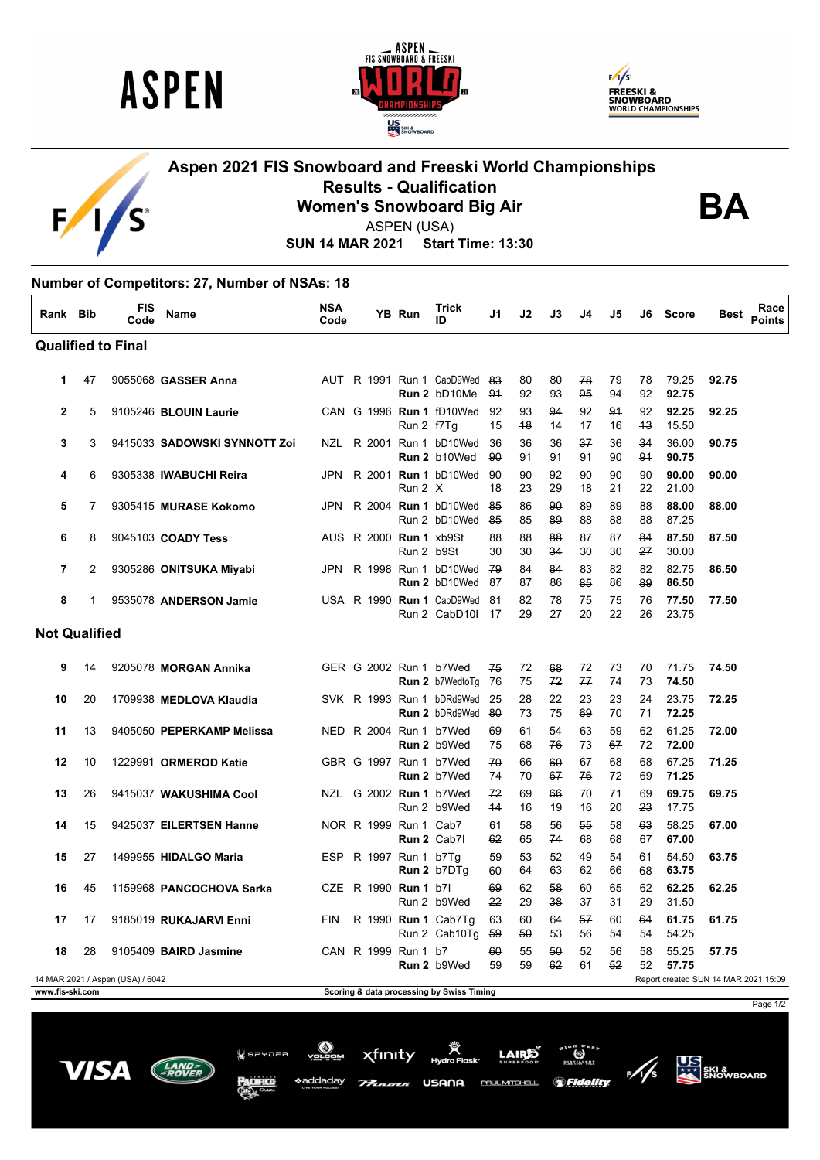

 $\mathsf F$ 

 $\blacksquare$ 

'S





## **Aspen 2021 FIS Snowboard and Freeski World Championships Results - Qualification Women's Snowboard Big Air**



ASPEN (USA)

**SUN 14 MAR 2021 Start Time: 13:30**

## **Number of Competitors: 27, Number of NSAs: 18**

| Rank Bib                  |                                                                          | <b>FIS</b><br>Code | <b>Name</b>                  | <b>NSA</b><br>Code |                               | YB Run     | Trick<br>ID                                        | J1        | J2       | J3       | J4       | J5       | J6       | <b>Score</b>   | Best  | Race<br><b>Points</b> |
|---------------------------|--------------------------------------------------------------------------|--------------------|------------------------------|--------------------|-------------------------------|------------|----------------------------------------------------|-----------|----------|----------|----------|----------|----------|----------------|-------|-----------------------|
| <b>Qualified to Final</b> |                                                                          |                    |                              |                    |                               |            |                                                    |           |          |          |          |          |          |                |       |                       |
| 1                         | 47                                                                       |                    | 9055068 GASSER Anna          |                    |                               |            | AUT R 1991 Run 1 CabD9Wed<br>Run 2 bD10Me          | 83<br>91  | 80<br>92 | 80<br>93 | 78<br>95 | 79<br>94 | 78<br>92 | 79.25<br>92.75 | 92.75 |                       |
| $\mathbf{2}$              | 5                                                                        |                    | 9105246 BLOUIN Laurie        |                    |                               | Run 2 f7Tg | CAN G 1996 Run 1 fD10Wed                           | 92<br>15  | 93<br>48 | 94<br>14 | 92<br>17 | 91<br>16 | 92<br>43 | 92.25<br>15.50 | 92.25 |                       |
| 3                         | 3                                                                        |                    | 9415033 SADOWSKI SYNNOTT Zoi |                    |                               |            | NZL R 2001 Run 1 bD10Wed<br>Run 2 b10Wed           | 36<br>90  | 36<br>91 | 36<br>91 | 37<br>91 | 36<br>90 | 34<br>91 | 36.00<br>90.75 | 90.75 |                       |
| 4                         | 6                                                                        |                    | 9305338 IWABUCHI Reira       |                    |                               | Run 2 X    | JPN R 2001 Run 1 bD10Wed                           | -90<br>48 | 90<br>23 | 92<br>29 | 90<br>18 | 90<br>21 | 90<br>22 | 90.00<br>21.00 | 90.00 |                       |
| 5                         | $\overline{7}$                                                           |                    | 9305415 MURASE Kokomo        | JPN                |                               |            | R 2004 Run 1 bD10Wed<br>Run 2 bD10Wed              | -85<br>85 | 86<br>85 | 90<br>89 | 89<br>88 | 89<br>88 | 88<br>88 | 88.00<br>87.25 | 88.00 |                       |
| 6                         | 8                                                                        |                    | 9045103 COADY Tess           |                    | AUS R 2000 <b>Run 1</b> xb9St | Run 2 b9St |                                                    | 88<br>30  | 88<br>30 | 88<br>34 | 87<br>30 | 87<br>30 | 84<br>27 | 87.50<br>30.00 | 87.50 |                       |
| 7                         | 2                                                                        |                    | 9305286 ONITSUKA Miyabi      |                    |                               |            | JPN R 1998 Run 1 bD10Wed 79<br>Run 2 bD10Wed       | -87       | 84<br>87 | 84<br>86 | 83<br>85 | 82<br>86 | 82<br>89 | 82.75<br>86.50 | 86.50 |                       |
| 8                         | 1                                                                        |                    | 9535078 ANDERSON Jamie       |                    |                               |            | USA R 1990 Run 1 CabD9Wed<br>Run 2 CabD101 47      | -81       | 82<br>29 | 78<br>27 | 75<br>20 | 75<br>22 | 76<br>26 | 77.50<br>23.75 | 77.50 |                       |
| <b>Not Qualified</b>      |                                                                          |                    |                              |                    |                               |            |                                                    |           |          |          |          |          |          |                |       |                       |
| 9                         | 14                                                                       |                    | 9205078 MORGAN Annika        |                    | GER G 2002 Run 1 b7Wed        |            | Run 2 b7WedtoTg                                    | 75<br>76  | 72<br>75 | 68<br>72 | 72<br>77 | 73<br>74 | 70<br>73 | 71.75<br>74.50 | 74.50 |                       |
| 10                        | 20                                                                       |                    | 1709938 MEDLOVA Klaudia      |                    |                               |            | SVK R 1993 Run 1 bDRd9Wed<br><b>Run 2 bDRd9Wed</b> | 25<br>80  | 28<br>73 | 22<br>75 | 23<br>69 | 23<br>70 | 24<br>71 | 23.75<br>72.25 | 72.25 |                       |
| 11                        | 13                                                                       |                    | 9405050 PEPERKAMP Melissa    |                    | NED R 2004 Run 1 b7Wed        |            | Run 2 b9Wed                                        | 69<br>75  | 61<br>68 | 54<br>76 | 63<br>73 | 59<br>67 | 62<br>72 | 61.25<br>72.00 | 72.00 |                       |
| 12                        | 10                                                                       |                    | 1229991 ORMEROD Katie        |                    | GBR G 1997 Run 1 b7Wed        |            | Run 2 b7Wed                                        | 70<br>74  | 66<br>70 | 60<br>67 | 67<br>76 | 68<br>72 | 68<br>69 | 67.25<br>71.25 | 71.25 |                       |
| 13                        | 26                                                                       |                    | 9415037 WAKUSHIMA Cool       |                    | NZL G 2002 Run 1 b7Wed        |            | Run 2 b9Wed                                        | 72<br>44  | 69<br>16 | 66<br>19 | 70<br>16 | 71<br>20 | 69<br>23 | 69.75<br>17.75 | 69.75 |                       |
| 14                        | 15                                                                       |                    | 9425037 EILERTSEN Hanne      |                    | NOR R 1999 Run 1 Cab7         |            | Run 2 Cab7l                                        | 61<br>62  | 58<br>65 | 56<br>74 | 55<br>68 | 58<br>68 | 63<br>67 | 58.25<br>67.00 | 67.00 |                       |
| 15                        | 27                                                                       |                    | 1499955 HIDALGO Maria        |                    | ESP R 1997 Run 1 b7Tq         |            | Run 2 b7DTq                                        | 59<br>60  | 53<br>64 | 52<br>63 | 49<br>62 | 54<br>66 | 61<br>68 | 54.50<br>63.75 | 63.75 |                       |
| 16                        | 45                                                                       |                    | 1159968 PANCOCHOVA Sarka     | CZE                | R 1990 Run 1 b7l              |            | Run 2 b9Wed                                        | 69<br>22  | 62<br>29 | 58<br>38 | 60<br>37 | 65<br>31 | 62<br>29 | 62.25<br>31.50 | 62.25 |                       |
| 17                        | 17                                                                       |                    | 9185019 RUKAJARVI Enni       | <b>FIN</b>         |                               |            | R 1990 Run 1 Cab7Tg<br>Run 2 Cab10Tg               | 63<br>-59 | 60<br>50 | 64<br>53 | 57<br>56 | 60<br>54 | 64<br>54 | 61.75<br>54.25 | 61.75 |                       |
| 18                        | 28                                                                       |                    | 9105409 BAIRD Jasmine        |                    | CAN R 1999 Run 1 b7           |            | Run 2 b9Wed                                        | 60<br>59  | 55<br>59 | 50<br>62 | 52<br>61 | 56<br>52 | 58<br>52 | 55.25<br>57.75 | 57.75 |                       |
|                           | 14 MAR 2021 / Aspen (USA) / 6042<br>Report created SUN 14 MAR 2021 15:09 |                    |                              |                    |                               |            |                                                    |           |          |          |          |          |          |                |       |                       |

**www.fis-ski.com Scoring & data processing by Swiss Timing**

USANA

LAIRE

*Seidelity* 

**PAUL MITCHELL** 

xfinity

 $Q$  spypea

\*addadav

**US**<br>AND SKI &<br>SNOWBOARD

Page 1/2